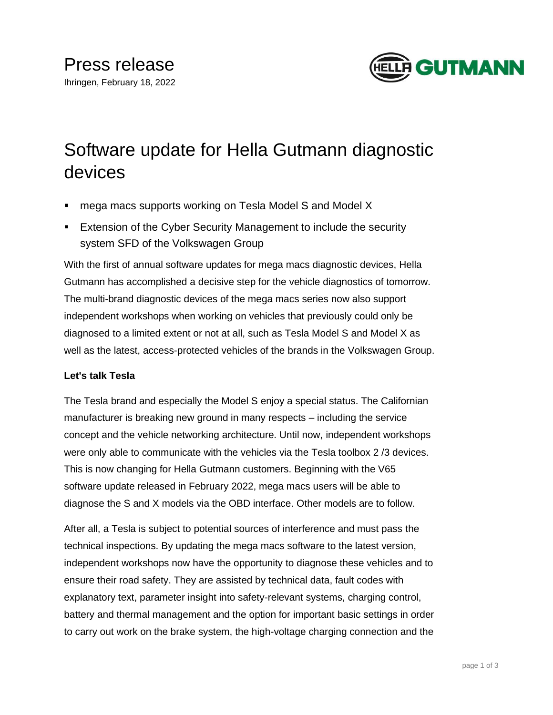

# Software update for Hella Gutmann diagnostic devices

- mega macs supports working on Tesla Model S and Model X
- **Extension of the Cyber Security Management to include the security** system SFD of the Volkswagen Group

With the first of annual software updates for mega macs diagnostic devices, Hella Gutmann has accomplished a decisive step for the vehicle diagnostics of tomorrow. The multi-brand diagnostic devices of the mega macs series now also support independent workshops when working on vehicles that previously could only be diagnosed to a limited extent or not at all, such as Tesla Model S and Model X as well as the latest, access-protected vehicles of the brands in the Volkswagen Group.

# **Let's talk Tesla**

The Tesla brand and especially the Model S enjoy a special status. The Californian manufacturer is breaking new ground in many respects – including the service concept and the vehicle networking architecture. Until now, independent workshops were only able to communicate with the vehicles via the Tesla toolbox 2 /3 devices. This is now changing for Hella Gutmann customers. Beginning with the V65 software update released in February 2022, mega macs users will be able to diagnose the S and X models via the OBD interface. Other models are to follow.

After all, a Tesla is subject to potential sources of interference and must pass the technical inspections. By updating the mega macs software to the latest version, independent workshops now have the opportunity to diagnose these vehicles and to ensure their road safety. They are assisted by technical data, fault codes with explanatory text, parameter insight into safety-relevant systems, charging control, battery and thermal management and the option for important basic settings in order to carry out work on the brake system, the high-voltage charging connection and the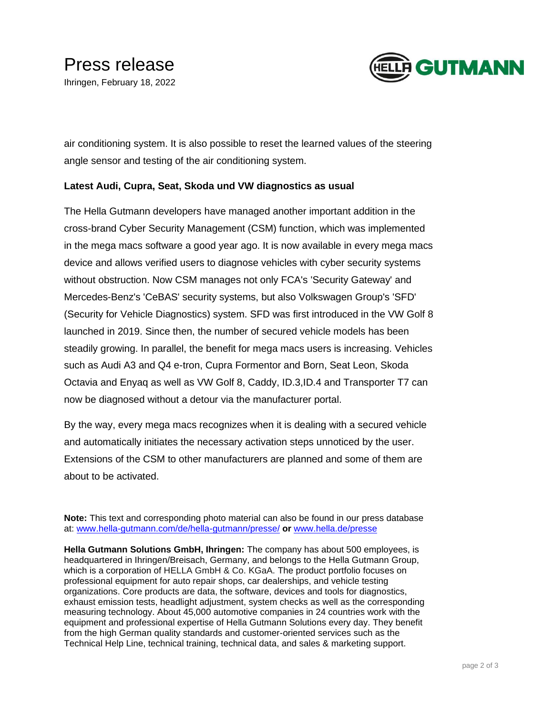

air conditioning system. It is also possible to reset the learned values of the steering angle sensor and testing of the air conditioning system.

## **Latest Audi, Cupra, Seat, Skoda und VW diagnostics as usual**

The Hella Gutmann developers have managed another important addition in the cross-brand Cyber Security Management (CSM) function, which was implemented in the mega macs software a good year ago. It is now available in every mega macs device and allows verified users to diagnose vehicles with cyber security systems without obstruction. Now CSM manages not only FCA's 'Security Gateway' and Mercedes-Benz's 'CeBAS' security systems, but also Volkswagen Group's 'SFD' (Security for Vehicle Diagnostics) system. SFD was first introduced in the VW Golf 8 launched in 2019. Since then, the number of secured vehicle models has been steadily growing. In parallel, the benefit for mega macs users is increasing. Vehicles such as Audi A3 and Q4 e-tron, Cupra Formentor and Born, Seat Leon, Skoda Octavia and Enyaq as well as VW Golf 8, Caddy, ID.3,ID.4 and Transporter T7 can now be diagnosed without a detour via the manufacturer portal.

By the way, every mega macs recognizes when it is dealing with a secured vehicle and automatically initiates the necessary activation steps unnoticed by the user. Extensions of the CSM to other manufacturers are planned and some of them are about to be activated.

**Note:** This text and corresponding photo material can also be found in our press database at: [www.hella-gutmann.com/de/hella-gutmann/presse/](http://www.hella-gutmann.com/de/hella-gutmann/presse/) **or** [www.hella.de/presse](http://www.hella.de/presse)

**Hella Gutmann Solutions GmbH, Ihringen:** The company has about 500 employees, is headquartered in Ihringen/Breisach, Germany, and belongs to the Hella Gutmann Group, which is a corporation of HELLA GmbH & Co. KGaA. The product portfolio focuses on professional equipment for auto repair shops, car dealerships, and vehicle testing organizations. Core products are data, the software, devices and tools for diagnostics, exhaust emission tests, headlight adjustment, system checks as well as the corresponding measuring technology. About 45,000 automotive companies in 24 countries work with the equipment and professional expertise of Hella Gutmann Solutions every day. They benefit from the high German quality standards and customer-oriented services such as the Technical Help Line, technical training, technical data, and sales & marketing support.